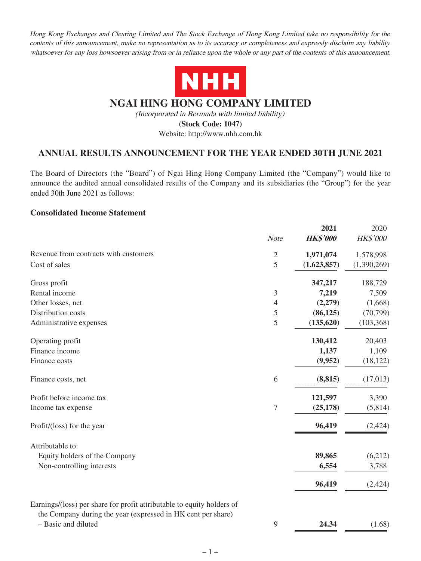Hong Kong Exchanges and Clearing Limited and The Stock Exchange of Hong Kong Limited take no responsibility for the contents of this announcement, make no representation as to its accuracy or completeness and expressly disclaim any liability whatsoever for any loss howsoever arising from or in reliance upon the whole or any part of the contents of this announcement.



# **NGAI HING HONG COMPANY LIMITED**

(Incorporated in Bermuda with limited liability)

**(Stock Code: 1047)**

Website: http://www.nhh.com.hk

# **ANNUAL RESULTS ANNOUNCEMENT FOR THE YEAR ENDED 30TH JUNE 2021**

The Board of Directors (the "Board") of Ngai Hing Hong Company Limited (the "Company") would like to announce the audited annual consolidated results of the Company and its subsidiaries (the "Group") for the year ended 30th June 2021 as follows:

### **Consolidated Income Statement**

|                                                                                     |                | 2021            | 2020        |
|-------------------------------------------------------------------------------------|----------------|-----------------|-------------|
|                                                                                     | Note           | <b>HK\$'000</b> | HK\$'000    |
| Revenue from contracts with customers                                               | $\overline{c}$ | 1,971,074       | 1,578,998   |
| Cost of sales                                                                       | 5              | (1,623,857)     | (1,390,269) |
| Gross profit                                                                        |                | 347,217         | 188,729     |
| Rental income                                                                       | 3              | 7,219           | 7,509       |
| Other losses, net                                                                   | 4              | (2,279)         | (1,668)     |
| Distribution costs                                                                  | 5              | (86, 125)       | (70, 799)   |
| Administrative expenses                                                             | 5              | (135, 620)      | (103, 368)  |
| Operating profit                                                                    |                | 130,412         | 20,403      |
| Finance income                                                                      |                | 1,137           | 1,109       |
| Finance costs                                                                       |                | (9,952)         | (18, 122)   |
| Finance costs, net                                                                  | 6              | (8, 815)        | (17, 013)   |
| Profit before income tax                                                            |                | 121,597         | 3,390       |
| Income tax expense                                                                  | $\overline{7}$ | (25, 178)       | (5,814)     |
| Profit/(loss) for the year                                                          |                | 96,419          | (2, 424)    |
| Attributable to:                                                                    |                |                 |             |
| Equity holders of the Company                                                       |                | 89,865          | (6,212)     |
| Non-controlling interests                                                           |                | 6,554           | 3,788       |
|                                                                                     |                | 96,419          | (2, 424)    |
| Earnings/(loss) per share for profit attributable to equity holders of              |                |                 |             |
| the Company during the year (expressed in HK cent per share)<br>- Basic and diluted | 9              | 24.34           | (1.68)      |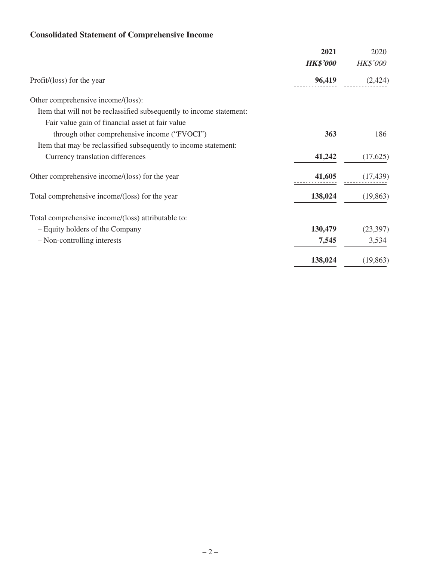# **Consolidated Statement of Comprehensive Income**

|                                                                      | 2021            | 2020            |
|----------------------------------------------------------------------|-----------------|-----------------|
|                                                                      | <b>HK\$'000</b> | <b>HK\$'000</b> |
| Profit/(loss) for the year                                           | 96,419          | (2,424)         |
| Other comprehensive income/(loss):                                   |                 |                 |
| Item that will not be reclassified subsequently to income statement: |                 |                 |
| Fair value gain of financial asset at fair value                     |                 |                 |
| through other comprehensive income ("FVOCI")                         | 363             | 186             |
| Item that may be reclassified subsequently to income statement:      |                 |                 |
| Currency translation differences                                     | 41,242          | (17,625)        |
| Other comprehensive income/(loss) for the year                       | 41,605          | (17, 439)       |
| Total comprehensive income/(loss) for the year                       | 138,024         | (19, 863)       |
| Total comprehensive income/(loss) attributable to:                   |                 |                 |
| - Equity holders of the Company                                      | 130,479         | (23, 397)       |
| - Non-controlling interests                                          | 7,545           | 3,534           |
|                                                                      | 138,024         | (19, 863)       |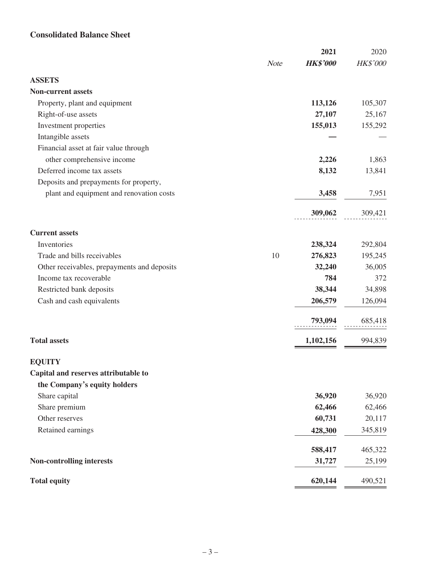# **Consolidated Balance Sheet**

|                                             |             | 2021            | 2020     |
|---------------------------------------------|-------------|-----------------|----------|
|                                             | <b>Note</b> | <b>HK\$'000</b> | HK\$'000 |
| <b>ASSETS</b>                               |             |                 |          |
| <b>Non-current assets</b>                   |             |                 |          |
| Property, plant and equipment               |             | 113,126         | 105,307  |
| Right-of-use assets                         |             | 27,107          | 25,167   |
| Investment properties                       |             | 155,013         | 155,292  |
| Intangible assets                           |             |                 |          |
| Financial asset at fair value through       |             |                 |          |
| other comprehensive income                  |             | 2,226           | 1,863    |
| Deferred income tax assets                  |             | 8,132           | 13,841   |
| Deposits and prepayments for property,      |             |                 |          |
| plant and equipment and renovation costs    |             | 3,458           | 7,951    |
|                                             |             | 309,062         | 309,421  |
| <b>Current assets</b>                       |             |                 |          |
| Inventories                                 |             | 238,324         | 292,804  |
| Trade and bills receivables                 | 10          | 276,823         | 195,245  |
| Other receivables, prepayments and deposits |             | 32,240          | 36,005   |
| Income tax recoverable                      |             | 784             | 372      |
| Restricted bank deposits                    |             | 38,344          | 34,898   |
| Cash and cash equivalents                   |             | 206,579         | 126,094  |
|                                             |             | 793,094         | 685,418  |
| <b>Total assets</b>                         |             | 1,102,156       | 994,839  |
| <b>EQUITY</b>                               |             |                 |          |
| Capital and reserves attributable to        |             |                 |          |
| the Company's equity holders                |             |                 |          |
| Share capital                               |             | 36,920          | 36,920   |
| Share premium                               |             | 62,466          | 62,466   |
| Other reserves                              |             | 60,731          | 20,117   |
| Retained earnings                           |             | 428,300         | 345,819  |
|                                             |             | 588,417         | 465,322  |
| <b>Non-controlling interests</b>            |             | 31,727          | 25,199   |
| <b>Total equity</b>                         |             | 620,144         | 490,521  |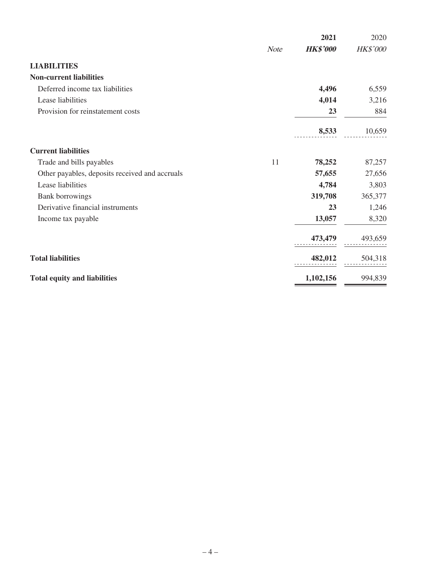|                                                |             | 2021            | 2020            |
|------------------------------------------------|-------------|-----------------|-----------------|
|                                                | <b>Note</b> | <b>HK\$'000</b> | <b>HK\$'000</b> |
| <b>LIABILITIES</b>                             |             |                 |                 |
| <b>Non-current liabilities</b>                 |             |                 |                 |
| Deferred income tax liabilities                |             | 4,496           | 6,559           |
| Lease liabilities                              |             | 4,014           | 3,216           |
| Provision for reinstatement costs              |             | 23              | 884             |
|                                                |             | 8,533           | 10,659          |
| <b>Current liabilities</b>                     |             |                 |                 |
| Trade and bills payables                       | 11          | 78,252          | 87,257          |
| Other payables, deposits received and accruals |             | 57,655          | 27,656          |
| Lease liabilities                              |             | 4,784           | 3,803           |
| <b>Bank borrowings</b>                         |             | 319,708         | 365,377         |
| Derivative financial instruments               |             | 23              | 1,246           |
| Income tax payable                             |             | 13,057          | 8,320           |
|                                                |             | 473,479         | 493,659         |
| <b>Total liabilities</b>                       |             | 482,012         | 504,318         |
| <b>Total equity and liabilities</b>            |             | 1,102,156       | 994,839         |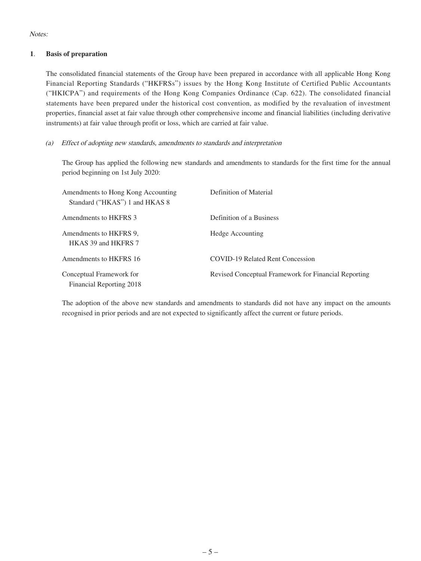Notes:

#### **1**. **Basis of preparation**

The consolidated financial statements of the Group have been prepared in accordance with all applicable Hong Kong Financial Reporting Standards ("HKFRSs") issues by the Hong Kong Institute of Certified Public Accountants ("HKICPA") and requirements of the Hong Kong Companies Ordinance (Cap. 622). The consolidated financial statements have been prepared under the historical cost convention, as modified by the revaluation of investment properties, financial asset at fair value through other comprehensive income and financial liabilities (including derivative instruments) at fair value through profit or loss, which are carried at fair value.

#### (a) Effect of adopting new standards, amendments to standards and interpretation

The Group has applied the following new standards and amendments to standards for the first time for the annual period beginning on 1st July 2020:

| Amendments to Hong Kong Accounting<br>Standard ("HKAS") 1 and HKAS 8 | Definition of Material                               |
|----------------------------------------------------------------------|------------------------------------------------------|
| Amendments to HKFRS 3                                                | Definition of a Business                             |
| Amendments to HKFRS 9.<br>HKAS 39 and HKFRS 7                        | Hedge Accounting                                     |
| Amendments to HKFRS 16                                               | COVID-19 Related Rent Concession                     |
| Conceptual Framework for<br>Financial Reporting 2018                 | Revised Conceptual Framework for Financial Reporting |

The adoption of the above new standards and amendments to standards did not have any impact on the amounts recognised in prior periods and are not expected to significantly affect the current or future periods.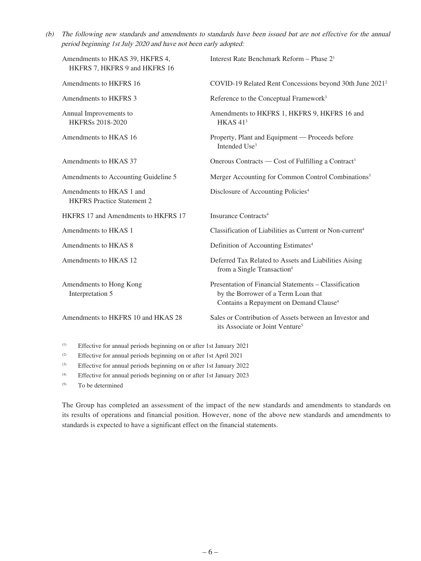(b) The following new standards and amendments to standards have been issued but are not effective for the annual period beginning 1st July 2020 and have not been early adopted:

| Interest Rate Benchmark Reform - Phase 2 <sup>1</sup>                                                                                              |
|----------------------------------------------------------------------------------------------------------------------------------------------------|
| COVID-19 Related Rent Concessions beyond 30th June 2021 <sup>2</sup>                                                                               |
| Reference to the Conceptual Framework <sup>3</sup>                                                                                                 |
| Amendments to HKFRS 1, HKFRS 9, HKFRS 16 and<br>HKAS $413$                                                                                         |
| Property, Plant and Equipment — Proceeds before<br>Intended Use <sup>3</sup>                                                                       |
| Onerous Contracts — Cost of Fulfilling a Contract <sup>3</sup>                                                                                     |
| Merger Accounting for Common Control Combinations <sup>3</sup>                                                                                     |
| Disclosure of Accounting Policies <sup>4</sup>                                                                                                     |
| Insurance Contracts <sup>4</sup>                                                                                                                   |
| Classification of Liabilities as Current or Non-current <sup>4</sup>                                                                               |
| Definition of Accounting Estimates <sup>4</sup>                                                                                                    |
| Deferred Tax Related to Assets and Liabilities Aising<br>from a Single Transaction <sup>4</sup>                                                    |
| Presentation of Financial Statements - Classification<br>by the Borrower of a Term Loan that<br>Contains a Repayment on Demand Clause <sup>4</sup> |
| Sales or Contribution of Assets between an Investor and<br>its Associate or Joint Venture <sup>5</sup>                                             |
|                                                                                                                                                    |

(1) Effective for annual periods beginning on or after 1st January 2021

(2) Effective for annual periods beginning on or after 1st April 2021

(3) Effective for annual periods beginning on or after 1st January 2022

(4) Effective for annual periods beginning on or after 1st January 2023

(5) To be determined

The Group has completed an assessment of the impact of the new standards and amendments to standards on its results of operations and financial position. However, none of the above new standards and amendments to standards is expected to have a significant effect on the financial statements.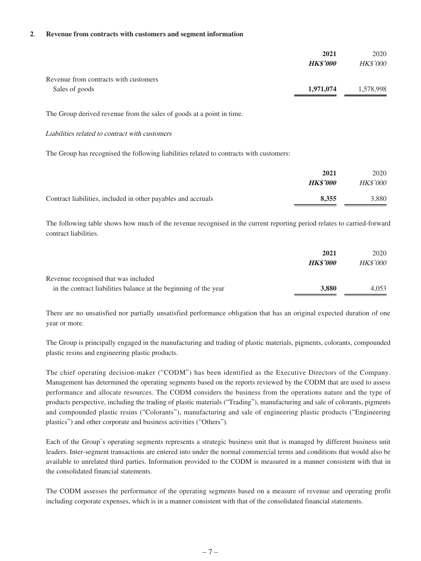#### **2**. **Revenue from contracts with customers and segment information**

|                                       | 2021            | 2020            |
|---------------------------------------|-----------------|-----------------|
|                                       | <b>HK\$'000</b> | <b>HK\$'000</b> |
| Revenue from contracts with customers |                 |                 |
| Sales of goods                        | 1,971,074       | 1,578,998       |

The Group derived revenue from the sales of goods at a point in time.

Liabilities related to contract with customers

The Group has recognised the following liabilities related to contracts with customers:

|                                                               | 2021            | 2020            |
|---------------------------------------------------------------|-----------------|-----------------|
|                                                               | <b>HK\$'000</b> | <b>HK\$'000</b> |
| Contract liabilities, included in other payables and accruals | 8.355           | 3.880           |

The following table shows how much of the revenue recognised in the current reporting period relates to carried-forward contract liabilities.

|                                                                  | 2021            | 2020            |
|------------------------------------------------------------------|-----------------|-----------------|
|                                                                  | <b>HK\$'000</b> | <b>HK\$'000</b> |
| Revenue recognised that was included                             |                 |                 |
| in the contract liabilities balance at the beginning of the year | 3.880           | 4.053           |

There are no unsatisfied nor partially unsatisfied performance obligation that has an original expected duration of one year or more.

The Group is principally engaged in the manufacturing and trading of plastic materials, pigments, colorants, compounded plastic resins and engineering plastic products.

The chief operating decision-maker ("CODM") has been identified as the Executive Directors of the Company. Management has determined the operating segments based on the reports reviewed by the CODM that are used to assess performance and allocate resources. The CODM considers the business from the operations nature and the type of products perspective, including the trading of plastic materials ("Trading"), manufacturing and sale of colorants, pigments and compounded plastic resins ("Colorants"), manufacturing and sale of engineering plastic products ("Engineering plastics") and other corporate and business activities ("Others").

Each of the Group's operating segments represents a strategic business unit that is managed by different business unit leaders. Inter-segment transactions are entered into under the normal commercial terms and conditions that would also be available to unrelated third parties. Information provided to the CODM is measured in a manner consistent with that in the consolidated financial statements.

The CODM assesses the performance of the operating segments based on a measure of revenue and operating profit including corporate expenses, which is in a manner consistent with that of the consolidated financial statements.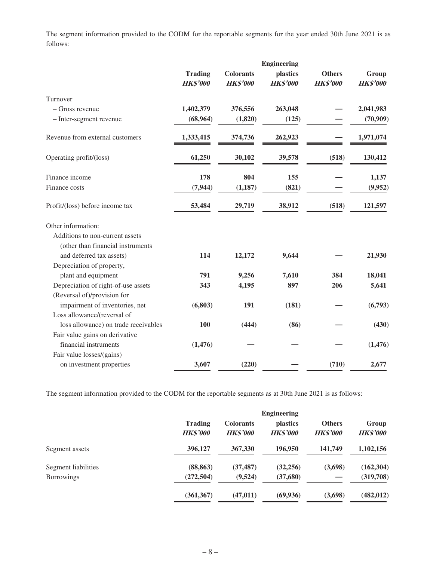The segment information provided to the CODM for the reportable segments for the year ended 30th June 2021 is as follows:

|                                      | <b>Engineering</b> |                  |                 |                 |                 |
|--------------------------------------|--------------------|------------------|-----------------|-----------------|-----------------|
|                                      | <b>Trading</b>     | <b>Colorants</b> | plastics        | <b>Others</b>   | Group           |
|                                      | <b>HK\$'000</b>    | <b>HK\$'000</b>  | <b>HK\$'000</b> | <b>HK\$'000</b> | <b>HK\$'000</b> |
| Turnover                             |                    |                  |                 |                 |                 |
| - Gross revenue                      | 1,402,379          | 376,556          | 263,048         |                 | 2,041,983       |
| - Inter-segment revenue              | (68, 964)          | (1,820)          | (125)           |                 | (70, 909)       |
| Revenue from external customers      | 1,333,415          | 374,736          | 262,923         |                 | 1,971,074       |
| Operating profit/(loss)              | 61,250             | 30,102           | 39,578          | (518)           | 130,412         |
| Finance income                       | 178                | 804              | 155             |                 | 1,137           |
| Finance costs                        | (7, 944)           | (1, 187)         | (821)           |                 | (9,952)         |
| Profit/(loss) before income tax      | 53,484             | 29,719           | 38,912          | (518)           | 121,597         |
| Other information:                   |                    |                  |                 |                 |                 |
| Additions to non-current assets      |                    |                  |                 |                 |                 |
| (other than financial instruments    |                    |                  |                 |                 |                 |
| and deferred tax assets)             | 114                | 12,172           | 9,644           |                 | 21,930          |
| Depreciation of property,            |                    |                  |                 |                 |                 |
| plant and equipment                  | 791                | 9,256            | 7,610           | 384             | 18,041          |
| Depreciation of right-of-use assets  | 343                | 4,195            | 897             | 206             | 5,641           |
| (Reversal of)/provision for          |                    |                  |                 |                 |                 |
| impairment of inventories, net       | (6, 803)           | 191              | (181)           |                 | (6,793)         |
| Loss allowance/(reversal of          |                    |                  |                 |                 |                 |
| loss allowance) on trade receivables | 100                | (444)            | (86)            |                 | (430)           |
| Fair value gains on derivative       |                    |                  |                 |                 |                 |
| financial instruments                | (1, 476)           |                  |                 |                 | (1, 476)        |
| Fair value losses/(gains)            |                    |                  |                 |                 |                 |
| on investment properties             | 3,607              | (220)            |                 | (710)           | 2,677           |

The segment information provided to the CODM for the reportable segments as at 30th June 2021 is as follows:

|                     | <b>Engineering</b>                |                                     |                                    |                                  |                          |
|---------------------|-----------------------------------|-------------------------------------|------------------------------------|----------------------------------|--------------------------|
|                     | <b>Trading</b><br><b>HK\$'000</b> | <b>Colorants</b><br><b>HK\$'000</b> | <i>plastics</i><br><b>HK\$'000</b> | <b>Others</b><br><b>HK\$'000</b> | Group<br><b>HK\$'000</b> |
| Segment assets      | 396,127                           | 367,330                             | 196,950                            | 141,749                          | 1,102,156                |
| Segment liabilities | (88, 863)                         | (37, 487)                           | (32, 256)                          | (3,698)                          | (162, 304)               |
| <b>Borrowings</b>   | (272, 504)                        | (9,524)                             | (37, 680)                          |                                  | (319,708)                |
|                     | (361, 367)                        | (47, 011)                           | (69, 936)                          | (3,698)                          | (482, 012)               |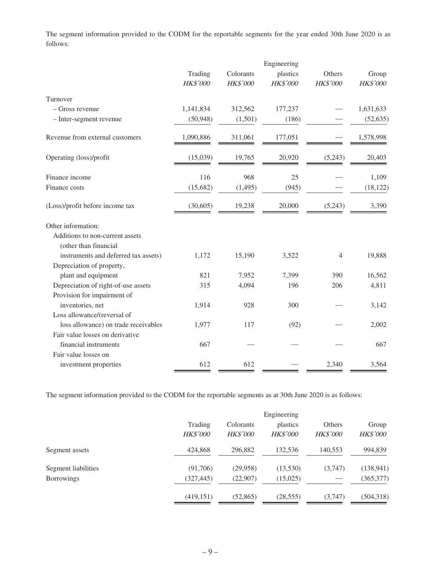The segment information provided to the CODM for the reportable segments for the year ended 30th June 2020 is as follows:

|                                      | Engineering     |           |                 |          |           |
|--------------------------------------|-----------------|-----------|-----------------|----------|-----------|
|                                      | Trading         | Colorants | plastics        | Others   | Group     |
|                                      | <b>HK\$'000</b> | HK\$'000  | <b>HK\$'000</b> | HK\$'000 | HK\$'000  |
| Turnover                             |                 |           |                 |          |           |
| - Gross revenue                      | 1,141,834       | 312,562   | 177,237         |          | 1,631,633 |
| - Inter-segment revenue              | (50, 948)       | (1,501)   | (186)           |          | (52, 635) |
| Revenue from external customers      | 1,090,886       | 311,061   | 177,051         |          | 1,578,998 |
| Operating (loss)/profit              | (15,039)        | 19,765    | 20,920          | (5,243)  | 20,403    |
| Finance income                       | 116             | 968       | 25              |          | 1,109     |
| Finance costs                        | (15,682)        | (1, 495)  | (945)           |          | (18, 122) |
| (Loss)/profit before income tax      | (30,605)        | 19,238    | 20,000          | (5,243)  | 3,390     |
| Other information:                   |                 |           |                 |          |           |
| Additions to non-current assets      |                 |           |                 |          |           |
| (other than financial                |                 |           |                 |          |           |
| instruments and deferred tax assets) | 1,172           | 15,190    | 3,522           | 4        | 19,888    |
| Depreciation of property,            |                 |           |                 |          |           |
| plant and equipment                  | 821             | 7,952     | 7,399           | 390      | 16,562    |
| Depreciation of right-of-use assets  | 315             | 4,094     | 196             | 206      | 4,811     |
| Provision for impairment of          |                 |           |                 |          |           |
| inventories, net                     | 1,914           | 928       | 300             |          | 3,142     |
| Loss allowance/(reversal of          |                 |           |                 |          |           |
| loss allowance) on trade receivables | 1,977           | 117       | (92)            |          | 2,002     |
| Fair value losses on derivative      |                 |           |                 |          |           |
| financial instruments                | 667             |           |                 |          | 667       |
| Fair value losses on                 |                 |           |                 |          |           |
| investment properties                | 612             | 612       |                 | 2,340    | 3,564     |

The segment information provided to the CODM for the reportable segments as at 30th June 2020 is as follows:

|                     |                            |                              | Engineering                 |                           |                          |
|---------------------|----------------------------|------------------------------|-----------------------------|---------------------------|--------------------------|
|                     | Trading<br><b>HK\$'000</b> | Colorants<br><b>HK\$'000</b> | plastics<br><b>HK\$'000</b> | Others<br><b>HK\$'000</b> | Group<br><b>HK\$'000</b> |
| Segment assets      | 424,868                    | 296,882                      | 132.536                     | 140,553                   | 994,839                  |
| Segment liabilities | (91,706)                   | (29,958)                     | (13, 530)                   | (3,747)                   | (138, 941)               |
| <b>Borrowings</b>   | (327, 445)                 | (22,907)                     | (15,025)                    |                           | (365, 377)               |
|                     | (419, 151)                 | (52, 865)                    | (28, 555)                   | (3,747)                   | (504,318)                |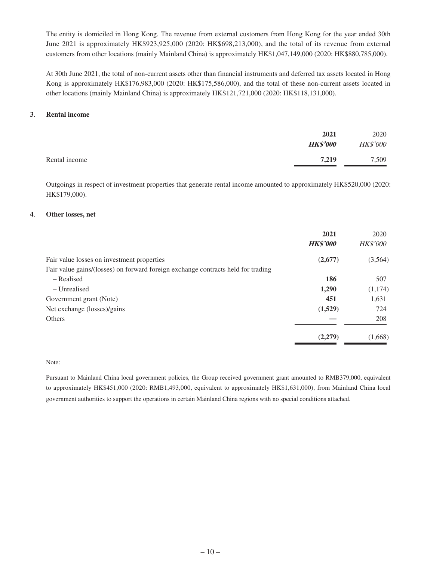The entity is domiciled in Hong Kong. The revenue from external customers from Hong Kong for the year ended 30th June 2021 is approximately HK\$923,925,000 (2020: HK\$698,213,000), and the total of its revenue from external customers from other locations (mainly Mainland China) is approximately HK\$1,047,149,000 (2020: HK\$880,785,000).

At 30th June 2021, the total of non-current assets other than financial instruments and deferred tax assets located in Hong Kong is approximately HK\$176,983,000 (2020: HK\$175,586,000), and the total of these non-current assets located in other locations (mainly Mainland China) is approximately HK\$121,721,000 (2020: HK\$118,131,000).

#### **3**. **Rental income**

|               | 2021<br><b>HK\$'000</b> | 2020<br><b>HK\$'000</b> |
|---------------|-------------------------|-------------------------|
| Rental income | 7,219                   | 7,509                   |

Outgoings in respect of investment properties that generate rental income amounted to approximately HK\$520,000 (2020: HK\$179,000).

#### **4**. **Other losses, net**

|                                                                                  | 2021            | 2020            |
|----------------------------------------------------------------------------------|-----------------|-----------------|
|                                                                                  | <b>HK\$'000</b> | <b>HK\$'000</b> |
| Fair value losses on investment properties                                       | (2,677)         | (3,564)         |
| Fair value gains/(losses) on forward foreign exchange contracts held for trading |                 |                 |
| – Realised                                                                       | 186             | 507             |
| – Unrealised                                                                     | 1,290           | (1,174)         |
| Government grant (Note)                                                          | 451             | 1,631           |
| Net exchange (losses)/gains                                                      | (1,529)         | 724             |
| Others                                                                           |                 | 208             |
|                                                                                  | (2,279)         | (1,668)         |

#### Note:

Pursuant to Mainland China local government policies, the Group received government grant amounted to RMB379,000, equivalent to approximately HK\$451,000 (2020: RMB1,493,000, equivalent to approximately HK\$1,631,000), from Mainland China local government authorities to support the operations in certain Mainland China regions with no special conditions attached.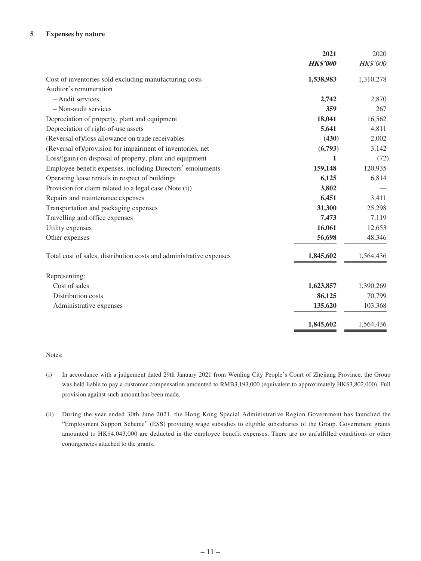#### **5**. **Expenses by nature**

|                                                                     | 2021            | 2020      |
|---------------------------------------------------------------------|-----------------|-----------|
|                                                                     | <b>HK\$'000</b> | HK\$'000  |
| Cost of inventories sold excluding manufacturing costs              | 1,538,983       | 1,310,278 |
| Auditor's remuneration                                              |                 |           |
| - Audit services                                                    | 2,742           | 2,870     |
| - Non-audit services                                                | 359             | 267       |
| Depreciation of property, plant and equipment                       | 18,041          | 16,562    |
| Depreciation of right-of-use assets                                 | 5,641           | 4,811     |
| (Reversal of)/loss allowance on trade receivables                   | (430)           | 2,002     |
| (Reversal of)/provision for impairment of inventories, net          | (6,793)         | 3,142     |
| Loss/(gain) on disposal of property, plant and equipment            | 1               | (72)      |
| Employee benefit expenses, including Directors' emoluments          | 159,148         | 120,935   |
| Operating lease rentals in respect of buildings                     | 6,125           | 6,814     |
| Provision for claim related to a legal case (Note (i))              | 3,802           |           |
| Repairs and maintenance expenses                                    | 6,451           | 3,411     |
| Transportation and packaging expenses                               | 31,300          | 25,298    |
| Travelling and office expenses                                      | 7,473           | 7,119     |
| Utility expenses                                                    | 16,061          | 12,653    |
| Other expenses                                                      | 56,698          | 48,346    |
| Total cost of sales, distribution costs and administrative expenses | 1,845,602       | 1,564,436 |
| Representing:                                                       |                 |           |
| Cost of sales                                                       | 1,623,857       | 1,390,269 |
| Distribution costs                                                  | 86,125          | 70,799    |
| Administrative expenses                                             | 135,620         | 103,368   |
|                                                                     | 1,845,602       | 1,564,436 |

#### Notes:

- (i) In accordance with a judgement dated 29th January 2021 from Wenling City People's Court of Zhejiang Province, the Group was held liable to pay a customer compensation amounted to RMB3,193,000 (equivalent to approximately HK\$3,802,000). Full provision against such amount has been made.
- (ii) During the year ended 30th June 2021, the Hong Kong Special Administrative Region Government has launched the "Employment Support Scheme" (ESS) providing wage subsidies to eligible subsidiaries of the Group. Government grants amounted to HK\$4,043,000 are deducted in the employee benefit expenses. There are no unfulfilled conditions or other contingencies attached to the grants.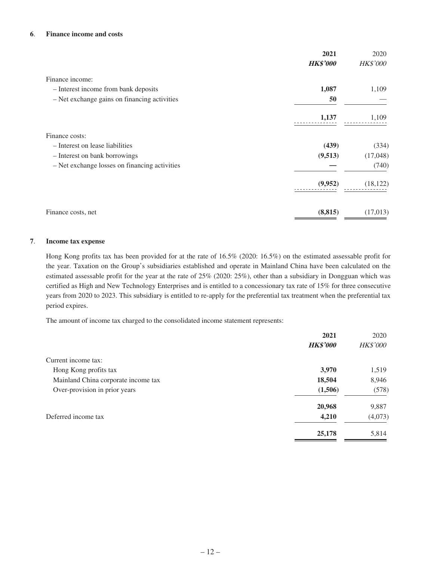#### **6**. **Finance income and costs**

|                                               | 2021<br><b>HK\$'000</b> | 2020<br><b>HK\$'000</b> |
|-----------------------------------------------|-------------------------|-------------------------|
|                                               |                         |                         |
| Finance income:                               |                         |                         |
| - Interest income from bank deposits          | 1,087                   | 1,109                   |
| - Net exchange gains on financing activities  | 50                      |                         |
|                                               | 1,137                   | 1,109                   |
| Finance costs:                                |                         |                         |
| - Interest on lease liabilities               | (439)                   | (334)                   |
| - Interest on bank borrowings                 | (9,513)                 | (17,048)                |
| - Net exchange losses on financing activities |                         | (740)                   |
|                                               | (9,952)                 | (18, 122)               |
| Finance costs, net                            | (8, 815)                | (17, 013)               |

#### **7**. **Income tax expense**

Hong Kong profits tax has been provided for at the rate of 16.5% (2020: 16.5%) on the estimated assessable profit for the year. Taxation on the Group's subsidiaries established and operate in Mainland China have been calculated on the estimated assessable profit for the year at the rate of 25% (2020: 25%), other than a subsidiary in Dongguan which was certified as High and New Technology Enterprises and is entitled to a concessionary tax rate of 15% for three consecutive years from 2020 to 2023. This subsidiary is entitled to re-apply for the preferential tax treatment when the preferential tax period expires.

The amount of income tax charged to the consolidated income statement represents:

|                                     | 2021            | 2020            |
|-------------------------------------|-----------------|-----------------|
|                                     | <b>HK\$'000</b> | <b>HK\$'000</b> |
| Current income tax:                 |                 |                 |
| Hong Kong profits tax               | 3,970           | 1,519           |
| Mainland China corporate income tax | 18,504          | 8,946           |
| Over-provision in prior years       | (1,506)         | (578)           |
|                                     | 20,968          | 9,887           |
| Deferred income tax                 | 4,210           | (4,073)         |
|                                     | 25,178          | 5,814           |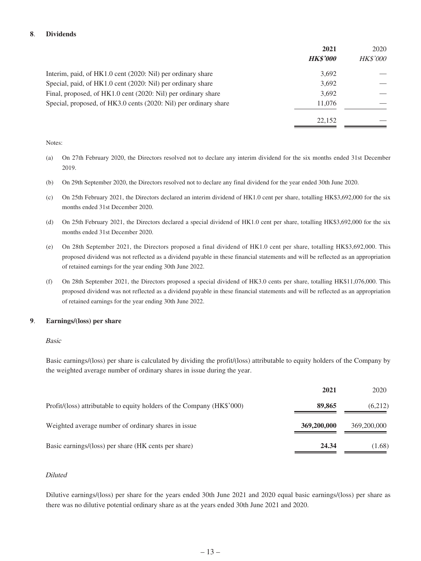#### **8**. **Dividends**

|                                                                  | 2021<br><b>HK\$'000</b> | 2020<br><b>HK\$'000</b> |
|------------------------------------------------------------------|-------------------------|-------------------------|
| Interim, paid, of HK1.0 cent (2020: Nil) per ordinary share      | 3,692                   |                         |
| Special, paid, of HK1.0 cent (2020: Nil) per ordinary share      | 3,692                   |                         |
| Final, proposed, of HK1.0 cent (2020: Nil) per ordinary share    | 3,692                   |                         |
| Special, proposed, of HK3.0 cents (2020: Nil) per ordinary share | 11.076                  |                         |
|                                                                  | 22,152                  |                         |

Notes:

- (a) On 27th February 2020, the Directors resolved not to declare any interim dividend for the six months ended 31st December 2019.
- (b) On 29th September 2020, the Directors resolved not to declare any final dividend for the year ended 30th June 2020.
- (c) On 25th February 2021, the Directors declared an interim dividend of HK1.0 cent per share, totalling HK\$3,692,000 for the six months ended 31st December 2020.
- (d) On 25th February 2021, the Directors declared a special dividend of HK1.0 cent per share, totalling HK\$3,692,000 for the six months ended 31st December 2020.
- (e) On 28th September 2021, the Directors proposed a final dividend of HK1.0 cent per share, totalling HK\$3,692,000. This proposed dividend was not reflected as a dividend payable in these financial statements and will be reflected as an appropriation of retained earnings for the year ending 30th June 2022.
- (f) On 28th September 2021, the Directors proposed a special dividend of HK3.0 cents per share, totalling HK\$11,076,000. This proposed dividend was not reflected as a dividend payable in these financial statements and will be reflected as an appropriation of retained earnings for the year ending 30th June 2022.

#### **9**. **Earnings/(loss) per share**

#### Basic

Basic earnings/(loss) per share is calculated by dividing the profit/(loss) attributable to equity holders of the Company by the weighted average number of ordinary shares in issue during the year.

|                                                                        | 2021        | 2020        |
|------------------------------------------------------------------------|-------------|-------------|
| Profit/(loss) attributable to equity holders of the Company (HK\$'000) | 89,865      | (6,212)     |
| Weighted average number of ordinary shares in issue                    | 369,200,000 | 369,200,000 |
| Basic earnings/(loss) per share (HK cents per share)                   | 24.34       | (1.68)      |

#### Diluted

Dilutive earnings/(loss) per share for the years ended 30th June 2021 and 2020 equal basic earnings/(loss) per share as there was no dilutive potential ordinary share as at the years ended 30th June 2021 and 2020.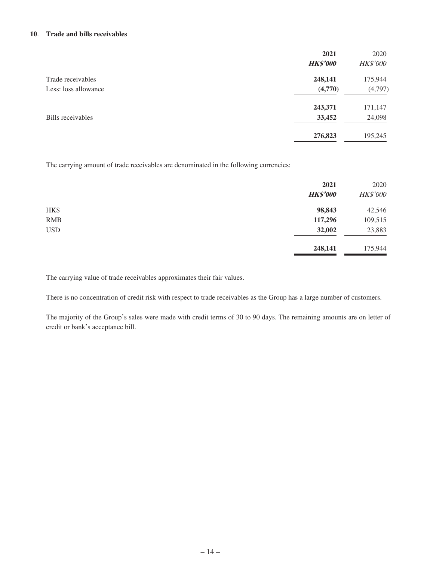#### **10**. **Trade and bills receivables**

|                      | 2021            | 2020            |
|----------------------|-----------------|-----------------|
|                      | <b>HK\$'000</b> | <b>HK\$'000</b> |
| Trade receivables    | 248,141         | 175,944         |
| Less: loss allowance | (4,770)         | (4,797)         |
|                      | 243,371         | 171,147         |
| Bills receivables    | 33,452          | 24,098          |
|                      | 276,823         | 195,245         |

The carrying amount of trade receivables are denominated in the following currencies:

| 2021                  | 2020     |
|-----------------------|----------|
| <b>HK\$'000</b>       | HK\$'000 |
| HK\$<br>98,843        | 42,546   |
| <b>RMB</b><br>117,296 | 109,515  |
| 32,002<br><b>USD</b>  | 23,883   |
| 248,141               | 175,944  |

The carrying value of trade receivables approximates their fair values.

There is no concentration of credit risk with respect to trade receivables as the Group has a large number of customers.

The majority of the Group's sales were made with credit terms of 30 to 90 days. The remaining amounts are on letter of credit or bank's acceptance bill.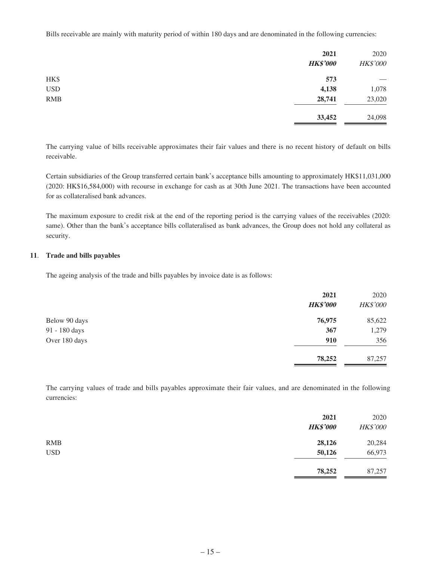Bills receivable are mainly with maturity period of within 180 days and are denominated in the following currencies:

|            | 2021<br><b>HK\$'000</b> | 2020<br>HK\$'000 |
|------------|-------------------------|------------------|
| HK\$       | 573                     |                  |
| <b>USD</b> | 4,138                   | 1,078            |
| <b>RMB</b> | 28,741                  | 23,020           |
|            | 33,452                  | 24,098           |

The carrying value of bills receivable approximates their fair values and there is no recent history of default on bills receivable.

Certain subsidiaries of the Group transferred certain bank's acceptance bills amounting to approximately HK\$11,031,000 (2020: HK\$16,584,000) with recourse in exchange for cash as at 30th June 2021. The transactions have been accounted for as collateralised bank advances.

The maximum exposure to credit risk at the end of the reporting period is the carrying values of the receivables (2020: same). Other than the bank's acceptance bills collateralised as bank advances, the Group does not hold any collateral as security.

#### **11**. **Trade and bills payables**

The ageing analysis of the trade and bills payables by invoice date is as follows:

|               | 2021            | 2020     |
|---------------|-----------------|----------|
|               | <b>HK\$'000</b> | HK\$'000 |
| Below 90 days | 76,975          | 85,622   |
| 91 - 180 days | 367             | 1,279    |
| Over 180 days | 910             | 356      |
|               | 78,252          | 87,257   |

The carrying values of trade and bills payables approximate their fair values, and are denominated in the following currencies:

|            | 2021<br><b>HK\$'000</b> | 2020<br>HK\$'000 |
|------------|-------------------------|------------------|
| <b>RMB</b> | 28,126                  | 20,284           |
| <b>USD</b> | 50,126                  | 66,973           |
|            | 78,252                  | 87,257           |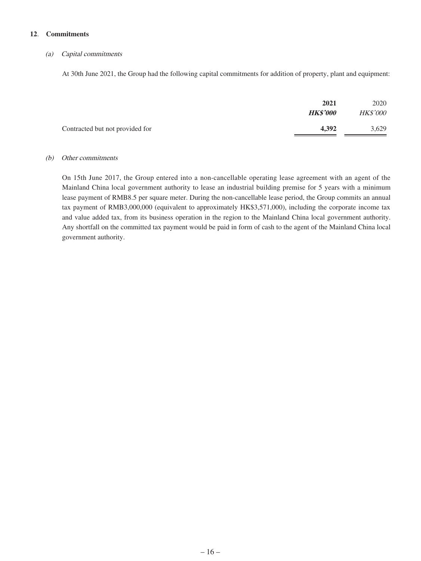#### **12**. **Commitments**

#### (a) Capital commitments

At 30th June 2021, the Group had the following capital commitments for addition of property, plant and equipment:

| 2021                                     | 2020     |
|------------------------------------------|----------|
| <b>HK\$'000</b>                          | HK\$'000 |
| 4,392<br>Contracted but not provided for | 3,629    |

#### (b) Other commitments

On 15th June 2017, the Group entered into a non-cancellable operating lease agreement with an agent of the Mainland China local government authority to lease an industrial building premise for 5 years with a minimum lease payment of RMB8.5 per square meter. During the non-cancellable lease period, the Group commits an annual tax payment of RMB3,000,000 (equivalent to approximately HK\$3,571,000), including the corporate income tax and value added tax, from its business operation in the region to the Mainland China local government authority. Any shortfall on the committed tax payment would be paid in form of cash to the agent of the Mainland China local government authority.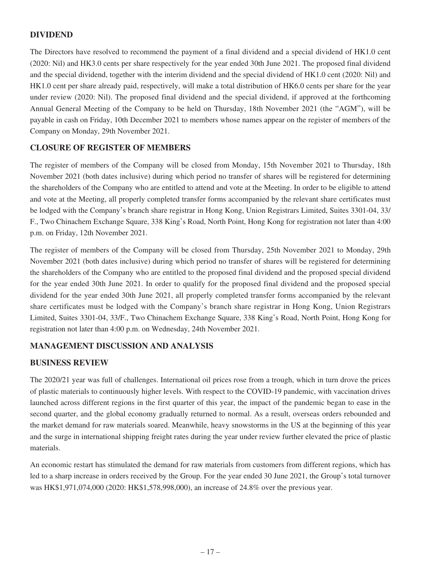## **DIVIDEND**

The Directors have resolved to recommend the payment of a final dividend and a special dividend of HK1.0 cent (2020: Nil) and HK3.0 cents per share respectively for the year ended 30th June 2021. The proposed final dividend and the special dividend, together with the interim dividend and the special dividend of HK1.0 cent (2020: Nil) and HK1.0 cent per share already paid, respectively, will make a total distribution of HK6.0 cents per share for the year under review (2020: Nil). The proposed final dividend and the special dividend, if approved at the forthcoming Annual General Meeting of the Company to be held on Thursday, 18th November 2021 (the "AGM"), will be payable in cash on Friday, 10th December 2021 to members whose names appear on the register of members of the Company on Monday, 29th November 2021.

### **CLOSURE OF REGISTER OF MEMBERS**

The register of members of the Company will be closed from Monday, 15th November 2021 to Thursday, 18th November 2021 (both dates inclusive) during which period no transfer of shares will be registered for determining the shareholders of the Company who are entitled to attend and vote at the Meeting. In order to be eligible to attend and vote at the Meeting, all properly completed transfer forms accompanied by the relevant share certificates must be lodged with the Company's branch share registrar in Hong Kong, Union Registrars Limited, Suites 3301-04, 33/ F., Two Chinachem Exchange Square, 338 King's Road, North Point, Hong Kong for registration not later than 4:00 p.m. on Friday, 12th November 2021.

The register of members of the Company will be closed from Thursday, 25th November 2021 to Monday, 29th November 2021 (both dates inclusive) during which period no transfer of shares will be registered for determining the shareholders of the Company who are entitled to the proposed final dividend and the proposed special dividend for the year ended 30th June 2021. In order to qualify for the proposed final dividend and the proposed special dividend for the year ended 30th June 2021, all properly completed transfer forms accompanied by the relevant share certificates must be lodged with the Company's branch share registrar in Hong Kong, Union Registrars Limited, Suites 3301-04, 33/F., Two Chinachem Exchange Square, 338 King's Road, North Point, Hong Kong for registration not later than 4:00 p.m. on Wednesday, 24th November 2021.

### **MANAGEMENT DISCUSSION AND ANALYSIS**

### **BUSINESS REVIEW**

The 2020/21 year was full of challenges. International oil prices rose from a trough, which in turn drove the prices of plastic materials to continuously higher levels. With respect to the COVID-19 pandemic, with vaccination drives launched across different regions in the first quarter of this year, the impact of the pandemic began to ease in the second quarter, and the global economy gradually returned to normal. As a result, overseas orders rebounded and the market demand for raw materials soared. Meanwhile, heavy snowstorms in the US at the beginning of this year and the surge in international shipping freight rates during the year under review further elevated the price of plastic materials.

An economic restart has stimulated the demand for raw materials from customers from different regions, which has led to a sharp increase in orders received by the Group. For the year ended 30 June 2021, the Group's total turnover was HK\$1,971,074,000 (2020: HK\$1,578,998,000), an increase of 24.8% over the previous year.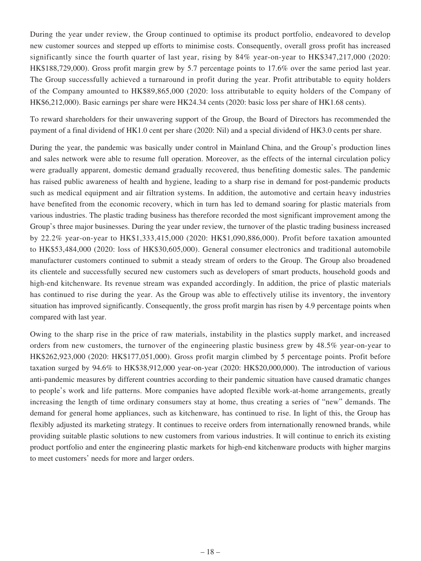During the year under review, the Group continued to optimise its product portfolio, endeavored to develop new customer sources and stepped up efforts to minimise costs. Consequently, overall gross profit has increased significantly since the fourth quarter of last year, rising by 84% year-on-year to HK\$347,217,000 (2020: HK\$188,729,000). Gross profit margin grew by 5.7 percentage points to 17.6% over the same period last year. The Group successfully achieved a turnaround in profit during the year. Profit attributable to equity holders of the Company amounted to HK\$89,865,000 (2020: loss attributable to equity holders of the Company of HK\$6,212,000). Basic earnings per share were HK24.34 cents (2020: basic loss per share of HK1.68 cents).

To reward shareholders for their unwavering support of the Group, the Board of Directors has recommended the payment of a final dividend of HK1.0 cent per share (2020: Nil) and a special dividend of HK3.0 cents per share.

During the year, the pandemic was basically under control in Mainland China, and the Group's production lines and sales network were able to resume full operation. Moreover, as the effects of the internal circulation policy were gradually apparent, domestic demand gradually recovered, thus benefiting domestic sales. The pandemic has raised public awareness of health and hygiene, leading to a sharp rise in demand for post-pandemic products such as medical equipment and air filtration systems. In addition, the automotive and certain heavy industries have benefited from the economic recovery, which in turn has led to demand soaring for plastic materials from various industries. The plastic trading business has therefore recorded the most significant improvement among the Group's three major businesses. During the year under review, the turnover of the plastic trading business increased by 22.2% year-on-year to HK\$1,333,415,000 (2020: HK\$1,090,886,000). Profit before taxation amounted to HK\$53,484,000 (2020: loss of HK\$30,605,000). General consumer electronics and traditional automobile manufacturer customers continued to submit a steady stream of orders to the Group. The Group also broadened its clientele and successfully secured new customers such as developers of smart products, household goods and high-end kitchenware. Its revenue stream was expanded accordingly. In addition, the price of plastic materials has continued to rise during the year. As the Group was able to effectively utilise its inventory, the inventory situation has improved significantly. Consequently, the gross profit margin has risen by 4.9 percentage points when compared with last year.

Owing to the sharp rise in the price of raw materials, instability in the plastics supply market, and increased orders from new customers, the turnover of the engineering plastic business grew by 48.5% year-on-year to HK\$262,923,000 (2020: HK\$177,051,000). Gross profit margin climbed by 5 percentage points. Profit before taxation surged by 94.6% to HK\$38,912,000 year-on-year (2020: HK\$20,000,000). The introduction of various anti-pandemic measures by different countries according to their pandemic situation have caused dramatic changes to people's work and life patterns. More companies have adopted flexible work-at-home arrangements, greatly increasing the length of time ordinary consumers stay at home, thus creating a series of "new" demands. The demand for general home appliances, such as kitchenware, has continued to rise. In light of this, the Group has flexibly adjusted its marketing strategy. It continues to receive orders from internationally renowned brands, while providing suitable plastic solutions to new customers from various industries. It will continue to enrich its existing product portfolio and enter the engineering plastic markets for high-end kitchenware products with higher margins to meet customers' needs for more and larger orders.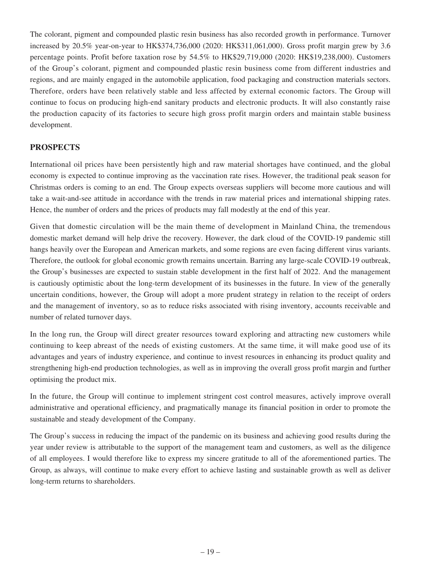The colorant, pigment and compounded plastic resin business has also recorded growth in performance. Turnover increased by 20.5% year-on-year to HK\$374,736,000 (2020: HK\$311,061,000). Gross profit margin grew by 3.6 percentage points. Profit before taxation rose by 54.5% to HK\$29,719,000 (2020: HK\$19,238,000). Customers of the Group's colorant, pigment and compounded plastic resin business come from different industries and regions, and are mainly engaged in the automobile application, food packaging and construction materials sectors. Therefore, orders have been relatively stable and less affected by external economic factors. The Group will continue to focus on producing high-end sanitary products and electronic products. It will also constantly raise the production capacity of its factories to secure high gross profit margin orders and maintain stable business development.

### **PROSPECTS**

International oil prices have been persistently high and raw material shortages have continued, and the global economy is expected to continue improving as the vaccination rate rises. However, the traditional peak season for Christmas orders is coming to an end. The Group expects overseas suppliers will become more cautious and will take a wait-and-see attitude in accordance with the trends in raw material prices and international shipping rates. Hence, the number of orders and the prices of products may fall modestly at the end of this year.

Given that domestic circulation will be the main theme of development in Mainland China, the tremendous domestic market demand will help drive the recovery. However, the dark cloud of the COVID-19 pandemic still hangs heavily over the European and American markets, and some regions are even facing different virus variants. Therefore, the outlook for global economic growth remains uncertain. Barring any large-scale COVID-19 outbreak, the Group's businesses are expected to sustain stable development in the first half of 2022. And the management is cautiously optimistic about the long-term development of its businesses in the future. In view of the generally uncertain conditions, however, the Group will adopt a more prudent strategy in relation to the receipt of orders and the management of inventory, so as to reduce risks associated with rising inventory, accounts receivable and number of related turnover days.

In the long run, the Group will direct greater resources toward exploring and attracting new customers while continuing to keep abreast of the needs of existing customers. At the same time, it will make good use of its advantages and years of industry experience, and continue to invest resources in enhancing its product quality and strengthening high-end production technologies, as well as in improving the overall gross profit margin and further optimising the product mix.

In the future, the Group will continue to implement stringent cost control measures, actively improve overall administrative and operational efficiency, and pragmatically manage its financial position in order to promote the sustainable and steady development of the Company.

The Group's success in reducing the impact of the pandemic on its business and achieving good results during the year under review is attributable to the support of the management team and customers, as well as the diligence of all employees. I would therefore like to express my sincere gratitude to all of the aforementioned parties. The Group, as always, will continue to make every effort to achieve lasting and sustainable growth as well as deliver long-term returns to shareholders.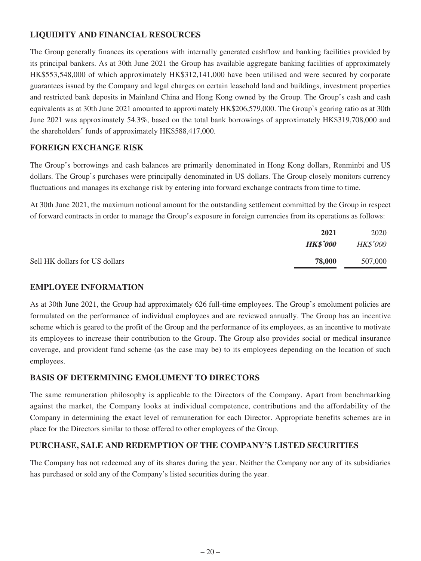# **LIQUIDITY AND FINANCIAL RESOURCES**

The Group generally finances its operations with internally generated cashflow and banking facilities provided by its principal bankers. As at 30th June 2021 the Group has available aggregate banking facilities of approximately HK\$553,548,000 of which approximately HK\$312,141,000 have been utilised and were secured by corporate guarantees issued by the Company and legal charges on certain leasehold land and buildings, investment properties and restricted bank deposits in Mainland China and Hong Kong owned by the Group. The Group's cash and cash equivalents as at 30th June 2021 amounted to approximately HK\$206,579,000. The Group's gearing ratio as at 30th June 2021 was approximately 54.3%, based on the total bank borrowings of approximately HK\$319,708,000 and the shareholders' funds of approximately HK\$588,417,000.

## **FOREIGN EXCHANGE RISK**

The Group's borrowings and cash balances are primarily denominated in Hong Kong dollars, Renminbi and US dollars. The Group's purchases were principally denominated in US dollars. The Group closely monitors currency fluctuations and manages its exchange risk by entering into forward exchange contracts from time to time.

At 30th June 2021, the maximum notional amount for the outstanding settlement committed by the Group in respect of forward contracts in order to manage the Group's exposure in foreign currencies from its operations as follows:

|                                | 2021            | 2020            |
|--------------------------------|-----------------|-----------------|
|                                | <b>HK\$'000</b> | <b>HK\$'000</b> |
| Sell HK dollars for US dollars | 78,000          | 507,000         |

# **EMPLOYEE INFORMATION**

As at 30th June 2021, the Group had approximately 626 full-time employees. The Group's emolument policies are formulated on the performance of individual employees and are reviewed annually. The Group has an incentive scheme which is geared to the profit of the Group and the performance of its employees, as an incentive to motivate its employees to increase their contribution to the Group. The Group also provides social or medical insurance coverage, and provident fund scheme (as the case may be) to its employees depending on the location of such employees.

### **BASIS OF DETERMINING EMOLUMENT TO DIRECTORS**

The same remuneration philosophy is applicable to the Directors of the Company. Apart from benchmarking against the market, the Company looks at individual competence, contributions and the affordability of the Company in determining the exact level of remuneration for each Director. Appropriate benefits schemes are in place for the Directors similar to those offered to other employees of the Group.

### **PURCHASE, SALE AND REDEMPTION OF THE COMPANY'S LISTED SECURITIES**

The Company has not redeemed any of its shares during the year. Neither the Company nor any of its subsidiaries has purchased or sold any of the Company's listed securities during the year.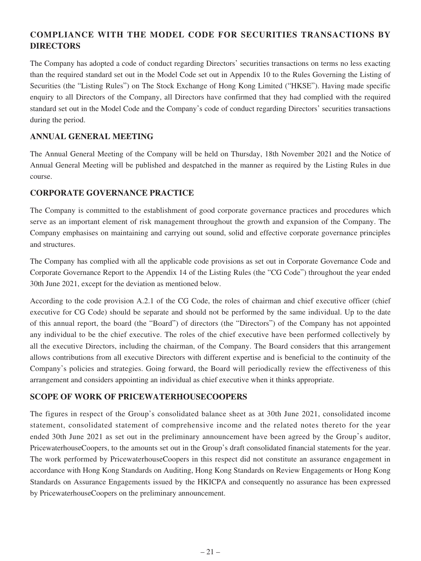# **COMPLIANCE WITH THE MODEL CODE FOR SECURITIES TRANSACTIONS BY DIRECTORS**

The Company has adopted a code of conduct regarding Directors' securities transactions on terms no less exacting than the required standard set out in the Model Code set out in Appendix 10 to the Rules Governing the Listing of Securities (the "Listing Rules") on The Stock Exchange of Hong Kong Limited ("HKSE"). Having made specific enquiry to all Directors of the Company, all Directors have confirmed that they had complied with the required standard set out in the Model Code and the Company's code of conduct regarding Directors' securities transactions during the period.

### **ANNUAL GENERAL MEETING**

The Annual General Meeting of the Company will be held on Thursday, 18th November 2021 and the Notice of Annual General Meeting will be published and despatched in the manner as required by the Listing Rules in due course.

### **CORPORATE GOVERNANCE PRACTICE**

The Company is committed to the establishment of good corporate governance practices and procedures which serve as an important element of risk management throughout the growth and expansion of the Company. The Company emphasises on maintaining and carrying out sound, solid and effective corporate governance principles and structures.

The Company has complied with all the applicable code provisions as set out in Corporate Governance Code and Corporate Governance Report to the Appendix 14 of the Listing Rules (the "CG Code") throughout the year ended 30th June 2021, except for the deviation as mentioned below.

According to the code provision A.2.1 of the CG Code, the roles of chairman and chief executive officer (chief executive for CG Code) should be separate and should not be performed by the same individual. Up to the date of this annual report, the board (the "Board") of directors (the "Directors") of the Company has not appointed any individual to be the chief executive. The roles of the chief executive have been performed collectively by all the executive Directors, including the chairman, of the Company. The Board considers that this arrangement allows contributions from all executive Directors with different expertise and is beneficial to the continuity of the Company's policies and strategies. Going forward, the Board will periodically review the effectiveness of this arrangement and considers appointing an individual as chief executive when it thinks appropriate.

### **SCOPE OF WORK OF PRICEWATERHOUSECOOPERS**

The figures in respect of the Group's consolidated balance sheet as at 30th June 2021, consolidated income statement, consolidated statement of comprehensive income and the related notes thereto for the year ended 30th June 2021 as set out in the preliminary announcement have been agreed by the Group's auditor, PricewaterhouseCoopers, to the amounts set out in the Group's draft consolidated financial statements for the year. The work performed by PricewaterhouseCoopers in this respect did not constitute an assurance engagement in accordance with Hong Kong Standards on Auditing, Hong Kong Standards on Review Engagements or Hong Kong Standards on Assurance Engagements issued by the HKICPA and consequently no assurance has been expressed by PricewaterhouseCoopers on the preliminary announcement.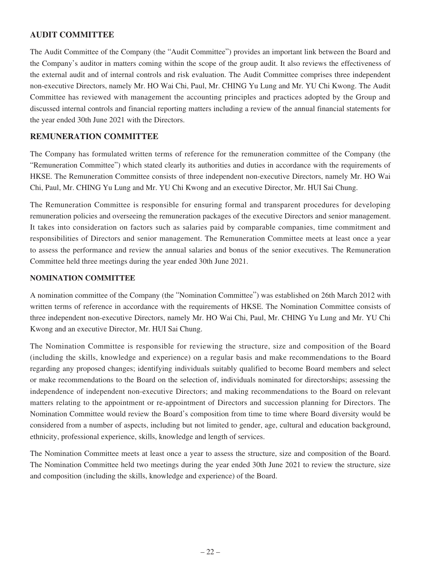### **AUDIT COMMITTEE**

The Audit Committee of the Company (the "Audit Committee") provides an important link between the Board and the Company's auditor in matters coming within the scope of the group audit. It also reviews the effectiveness of the external audit and of internal controls and risk evaluation. The Audit Committee comprises three independent non-executive Directors, namely Mr. HO Wai Chi, Paul, Mr. CHING Yu Lung and Mr. YU Chi Kwong. The Audit Committee has reviewed with management the accounting principles and practices adopted by the Group and discussed internal controls and financial reporting matters including a review of the annual financial statements for the year ended 30th June 2021 with the Directors.

### **REMUNERATION COMMITTEE**

The Company has formulated written terms of reference for the remuneration committee of the Company (the "Remuneration Committee") which stated clearly its authorities and duties in accordance with the requirements of HKSE. The Remuneration Committee consists of three independent non-executive Directors, namely Mr. HO Wai Chi, Paul, Mr. CHING Yu Lung and Mr. YU Chi Kwong and an executive Director, Mr. HUI Sai Chung.

The Remuneration Committee is responsible for ensuring formal and transparent procedures for developing remuneration policies and overseeing the remuneration packages of the executive Directors and senior management. It takes into consideration on factors such as salaries paid by comparable companies, time commitment and responsibilities of Directors and senior management. The Remuneration Committee meets at least once a year to assess the performance and review the annual salaries and bonus of the senior executives. The Remuneration Committee held three meetings during the year ended 30th June 2021.

### **NOMINATION COMMITTEE**

A nomination committee of the Company (the "Nomination Committee") was established on 26th March 2012 with written terms of reference in accordance with the requirements of HKSE. The Nomination Committee consists of three independent non-executive Directors, namely Mr. HO Wai Chi, Paul, Mr. CHING Yu Lung and Mr. YU Chi Kwong and an executive Director, Mr. HUI Sai Chung.

The Nomination Committee is responsible for reviewing the structure, size and composition of the Board (including the skills, knowledge and experience) on a regular basis and make recommendations to the Board regarding any proposed changes; identifying individuals suitably qualified to become Board members and select or make recommendations to the Board on the selection of, individuals nominated for directorships; assessing the independence of independent non-executive Directors; and making recommendations to the Board on relevant matters relating to the appointment or re-appointment of Directors and succession planning for Directors. The Nomination Committee would review the Board's composition from time to time where Board diversity would be considered from a number of aspects, including but not limited to gender, age, cultural and education background, ethnicity, professional experience, skills, knowledge and length of services.

The Nomination Committee meets at least once a year to assess the structure, size and composition of the Board. The Nomination Committee held two meetings during the year ended 30th June 2021 to review the structure, size and composition (including the skills, knowledge and experience) of the Board.